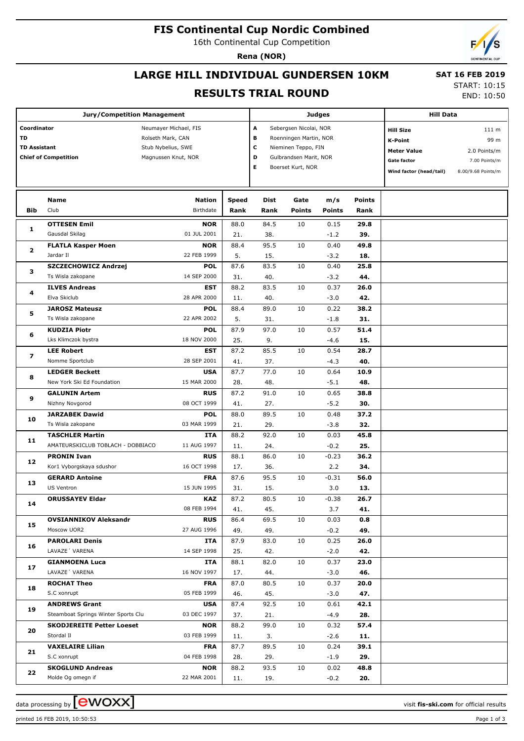## **FIS Continental Cup Nordic Combined**

16th Continental Cup Competition

**Rena (NOR)**

# **LARGE HILL INDIVIDUAL GUNDERSEN 10KM**

# **SAT 16 FEB 2019**

### **RESULTS TRIAL ROUND**

START: 10:15 END: 10:50

| <b>Jury/Competition Management</b>                                      |                                                             |                                                                                         |              |                                                                                                                                                 |               | <b>Judges</b>  | <b>Hill Data</b>                                                                                   |                                                                      |  |
|-------------------------------------------------------------------------|-------------------------------------------------------------|-----------------------------------------------------------------------------------------|--------------|-------------------------------------------------------------------------------------------------------------------------------------------------|---------------|----------------|----------------------------------------------------------------------------------------------------|----------------------------------------------------------------------|--|
| Coordinator<br>TD<br><b>TD Assistant</b><br><b>Chief of Competition</b> |                                                             | Neumayer Michael, FIS<br>Rolseth Mark, CAN<br>Stub Nybelius, SWE<br>Magnussen Knut, NOR |              | A<br>Sebergsen Nicolai, NOR<br>В<br>Roenningen Martin, NOR<br>c<br>Nieminen Teppo, FIN<br>D<br>Gulbrandsen Marit, NOR<br>Е<br>Boerset Kurt, NOR |               |                | <b>Hill Size</b><br>K-Point<br><b>Meter Value</b><br><b>Gate factor</b><br>Wind factor (head/tail) | 111 m<br>99 m<br>2.0 Points/m<br>7.00 Points/m<br>8.00/9.68 Points/m |  |
|                                                                         | Name                                                        | Nation                                                                                  | <b>Speed</b> | Dist                                                                                                                                            | Gate          | m/s            | <b>Points</b>                                                                                      |                                                                      |  |
| Bib                                                                     | Club                                                        | Birthdate                                                                               | Rank         | Rank                                                                                                                                            | <b>Points</b> | <b>Points</b>  | Rank                                                                                               |                                                                      |  |
|                                                                         | <b>OTTESEN Emil</b>                                         | <b>NOR</b>                                                                              | 88.0         | 84.5                                                                                                                                            | 10            | 0.15           | 29.8                                                                                               |                                                                      |  |
| 1                                                                       | Gausdal Skilag                                              | 01 JUL 2001                                                                             | 21.          | 38.                                                                                                                                             |               | $-1.2$         | 39.                                                                                                |                                                                      |  |
| $\mathbf{2}$                                                            | <b>FLATLA Kasper Moen</b>                                   | <b>NOR</b>                                                                              | 88.4         | 95.5                                                                                                                                            | 10            | 0.40           | 49.8                                                                                               |                                                                      |  |
|                                                                         | Jardar II                                                   | 22 FEB 1999                                                                             | 5.           | 15.                                                                                                                                             |               | $-3.2$         | 18.                                                                                                |                                                                      |  |
| з                                                                       | SZCZECHOWICZ Andrzej                                        | <b>POL</b>                                                                              | 87.6         | 83.5                                                                                                                                            | 10            | 0.40           | 25.8                                                                                               |                                                                      |  |
|                                                                         | Ts Wisla zakopane                                           | 14 SEP 2000                                                                             | 31.          | 40.                                                                                                                                             |               | $-3.2$         | 44.                                                                                                |                                                                      |  |
| 4                                                                       | <b>ILVES Andreas</b>                                        | EST                                                                                     | 88.2         | 83.5                                                                                                                                            | 10            | 0.37           | 26.0                                                                                               |                                                                      |  |
|                                                                         | Elva Skiclub                                                | 28 APR 2000                                                                             | 11.          | 40.                                                                                                                                             |               | $-3.0$         | 42.                                                                                                |                                                                      |  |
| 5                                                                       | <b>JAROSZ Mateusz</b>                                       | <b>POL</b>                                                                              | 88.4         | 89.0                                                                                                                                            | 10            | 0.22           | 38.2                                                                                               |                                                                      |  |
|                                                                         | Ts Wisla zakopane                                           | 22 APR 2002                                                                             | 5.           | 31.                                                                                                                                             |               | $-1.8$         | 31.                                                                                                |                                                                      |  |
| 6                                                                       | <b>KUDZIA Piotr</b>                                         | <b>POL</b>                                                                              | 87.9         | 97.0                                                                                                                                            | 10            | 0.57           | 51.4                                                                                               |                                                                      |  |
|                                                                         | Lks Klimczok bystra                                         | 18 NOV 2000                                                                             | 25.          | 9.                                                                                                                                              |               | $-4.6$         | 15.                                                                                                |                                                                      |  |
| 7                                                                       | <b>LEE Robert</b>                                           | EST                                                                                     | 87.2         | 85.5                                                                                                                                            | 10            | 0.54           | 28.7                                                                                               |                                                                      |  |
| 8<br>9<br>10                                                            | Nomme Sportclub                                             | 28 SEP 2001                                                                             | 41.          | 37.                                                                                                                                             |               | $-4.3$         | 40.                                                                                                |                                                                      |  |
|                                                                         | <b>LEDGER Beckett</b>                                       | <b>USA</b>                                                                              | 87.7         | 77.0                                                                                                                                            | 10            | 0.64           | 10.9                                                                                               |                                                                      |  |
|                                                                         | New York Ski Ed Foundation                                  | 15 MAR 2000                                                                             | 28.          | 48.                                                                                                                                             |               | $-5.1$         | 48.                                                                                                |                                                                      |  |
|                                                                         | <b>GALUNIN Artem</b>                                        | <b>RUS</b>                                                                              | 87.2         | 91.0                                                                                                                                            | 10            | 0.65           | 38.8                                                                                               |                                                                      |  |
|                                                                         | Nizhny Novgorod                                             | 08 OCT 1999                                                                             | 41.          | 27.                                                                                                                                             |               | $-5.2$         | 30.                                                                                                |                                                                      |  |
|                                                                         | <b>JARZABEK Dawid</b>                                       | <b>POL</b><br>03 MAR 1999                                                               | 88.0         | 89.5                                                                                                                                            | 10            | 0.48           | 37.2                                                                                               |                                                                      |  |
|                                                                         | Ts Wisla zakopane                                           |                                                                                         | 21.          | 29.                                                                                                                                             |               | $-3.8$         | 32.                                                                                                |                                                                      |  |
| 11                                                                      | <b>TASCHLER Martin</b><br>AMATEURSKICLUB TOBLACH - DOBBIACO | ITA<br>11 AUG 1997                                                                      | 88.2<br>11.  | 92.0<br>24.                                                                                                                                     | 10            | 0.03<br>$-0.2$ | 45.8<br>25.                                                                                        |                                                                      |  |
|                                                                         | <b>PRONIN Ivan</b>                                          | <b>RUS</b>                                                                              | 88.1         | 86.0                                                                                                                                            | 10            | $-0.23$        | 36.2                                                                                               |                                                                      |  |
| 12                                                                      | Kor1 Vyborgskaya sdushor                                    | 16 OCT 1998                                                                             | 17.          | 36.                                                                                                                                             |               | 2.2            | 34.                                                                                                |                                                                      |  |
|                                                                         | <b>GERARD Antoine</b>                                       | <b>FRA</b>                                                                              | 87.6         | 95.5                                                                                                                                            | 10            | $-0.31$        | 56.0                                                                                               |                                                                      |  |
| 13                                                                      | <b>US Ventron</b>                                           | 15 JUN 1995                                                                             | 31.          | 15.                                                                                                                                             |               | 3.0            | 13.                                                                                                |                                                                      |  |
|                                                                         | <b>ORUSSAYEV Eldar</b>                                      | KAZ                                                                                     | 87.2         | 80.5                                                                                                                                            | 10            | $-0.38$        | 26.7                                                                                               |                                                                      |  |
| 14                                                                      |                                                             | 08 FEB 1994                                                                             | 41.          | 45.                                                                                                                                             |               | 3.7            | 41.                                                                                                |                                                                      |  |
|                                                                         | <b>OVSIANNIKOV Aleksandr</b>                                | <b>RUS</b>                                                                              | 86.4         | 69.5                                                                                                                                            | 10            | 0.03           | 0.8                                                                                                |                                                                      |  |
| 15                                                                      | Moscow UOR2                                                 | 27 AUG 1996                                                                             | 49.          | 49.                                                                                                                                             |               | $-0.2$         | 49.                                                                                                |                                                                      |  |
|                                                                         | <b>PAROLARI Denis</b>                                       | ITA                                                                                     | 87.9         | 83.0                                                                                                                                            | 10            | 0.25           | 26.0                                                                                               |                                                                      |  |
| 16                                                                      | LAVAZE' VARENA                                              | 14 SEP 1998                                                                             | 25.          | 42.                                                                                                                                             |               | $-2.0$         | 42.                                                                                                |                                                                      |  |
|                                                                         | <b>GIANMOENA Luca</b>                                       | ITA                                                                                     | 88.1         | 82.0                                                                                                                                            | 10            | 0.37           | 23.0                                                                                               |                                                                      |  |
| 17                                                                      | LAVAZE 'VARENA                                              | 16 NOV 1997                                                                             | 17.          | 44.                                                                                                                                             |               | $-3.0$         | 46.                                                                                                |                                                                      |  |
| 18                                                                      | <b>ROCHAT Theo</b>                                          | <b>FRA</b>                                                                              | 87.0         | 80.5                                                                                                                                            | 10            | 0.37           | 20.0                                                                                               |                                                                      |  |
|                                                                         | S.C xonrupt                                                 | 05 FEB 1999                                                                             | 46.          | 45.                                                                                                                                             |               | $-3.0$         | 47.                                                                                                |                                                                      |  |
| 19                                                                      | <b>ANDREWS Grant</b>                                        | <b>USA</b>                                                                              | 87.4         | 92.5                                                                                                                                            | 10            | 0.61           | 42.1                                                                                               |                                                                      |  |
|                                                                         | Steamboat Springs Winter Sports Clu                         | 03 DEC 1997                                                                             | 37.          | 21.                                                                                                                                             |               | -4.9           | 28.                                                                                                |                                                                      |  |
| 20                                                                      | <b>SKODJEREITE Petter Loeset</b>                            | <b>NOR</b>                                                                              | 88.2         | 99.0                                                                                                                                            | 10            | 0.32           | 57.4                                                                                               |                                                                      |  |
|                                                                         | Stordal II                                                  | 03 FEB 1999                                                                             | 11.          | 3.                                                                                                                                              |               | $-2.6$         | 11.                                                                                                |                                                                      |  |
| 21                                                                      | <b>VAXELAIRE Lilian</b>                                     | <b>FRA</b>                                                                              | 87.7         | 89.5                                                                                                                                            | 10            | 0.24           | 39.1                                                                                               |                                                                      |  |
|                                                                         | S.C xonrupt                                                 | 04 FEB 1998                                                                             | 28.          | 29.                                                                                                                                             |               | $-1.9$         | 29.                                                                                                |                                                                      |  |
| 22                                                                      | <b>SKOGLUND Andreas</b>                                     | <b>NOR</b>                                                                              | 88.2         | 93.5                                                                                                                                            | 10            | 0.02           | 48.8                                                                                               |                                                                      |  |
|                                                                         | Molde Og omegn if                                           | 22 MAR 2001                                                                             | 11.          | 19.                                                                                                                                             |               | $-0.2$         | 20.                                                                                                |                                                                      |  |

data processing by  $\boxed{\text{ewOX}}$ 

printed 16 FEB 2019, 10:50:53 Page 1 of 3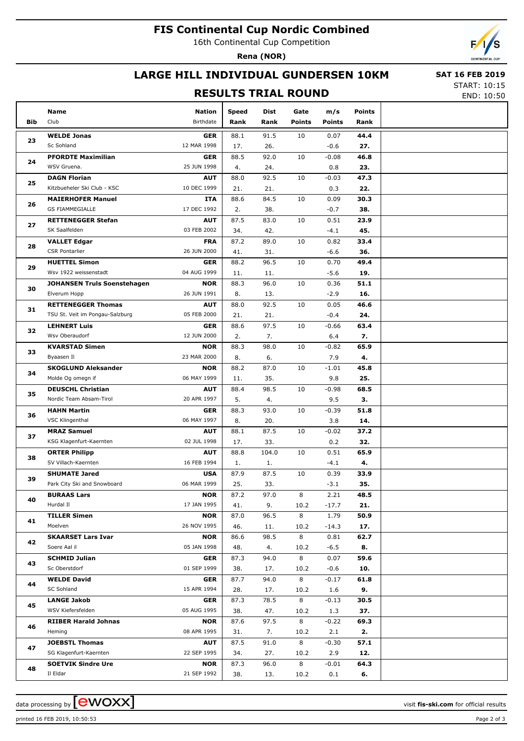## **FIS Continental Cup Nordic Combined**

16th Continental Cup Competition

**Rena (NOR)**

## **LARGE HILL INDIVIDUAL GUNDERSEN 10KM**

#### **RESULTS TRIAL ROUND**

 **SAT 16 FEB 2019** START: 10:15

END: 10:50

|            | Name                               | Nation                    | <b>Speed</b> | Dist        | Gate          | m/s            | <b>Points</b> |  |
|------------|------------------------------------|---------------------------|--------------|-------------|---------------|----------------|---------------|--|
| <b>Bib</b> | Club                               | Birthdate                 | Rank         | Rank        | <b>Points</b> | <b>Points</b>  | Rank          |  |
|            |                                    |                           |              |             | 10            |                |               |  |
| 23         | <b>WELDE Jonas</b><br>Sc Sohland   | <b>GER</b><br>12 MAR 1998 | 88.1<br>17.  | 91.5<br>26. |               | 0.07<br>$-0.6$ | 44.4<br>27.   |  |
|            | <b>PFORDTE Maximilian</b>          | <b>GER</b>                | 88.5         | 92.0        | 10            | $-0.08$        | 46.8          |  |
| 24         | WSV Gruena.                        | 25 JUN 1998               | 4.           | 24.         |               | 0.8            | 23.           |  |
|            | <b>DAGN Florian</b>                | <b>AUT</b>                | 88.0         | 92.5        | 10            | $-0.03$        | 47.3          |  |
| 25         | Kitzbueheler Ski Club - KSC        | 10 DEC 1999               | 21.          | 21.         |               | 0.3            | 22.           |  |
|            | <b>MAIERHOFER Manuel</b>           | ITA                       | 88.6         | 84.5        | 10            | 0.09           | 30.3          |  |
| 26         | <b>GS FIAMMEGIALLE</b>             | 17 DEC 1992               | 2.           | 38.         |               | $-0.7$         | 38.           |  |
|            | <b>RETTENEGGER Stefan</b>          | <b>AUT</b>                | 87.5         | 83.0        | 10            | 0.51           | 23.9          |  |
| 27         | SK Saalfelden                      | 03 FEB 2002               | 34.          | 42.         |               | $-4.1$         | 45.           |  |
|            | <b>VALLET Edgar</b>                | <b>FRA</b>                | 87.2         | 89.0        | 10            | 0.82           | 33.4          |  |
| 28         | <b>CSR Pontarlier</b>              | 26 JUN 2000               | 41.          | 31.         |               | $-6.6$         | 36.           |  |
|            | <b>HUETTEL Simon</b>               | <b>GER</b>                | 88.2         | 96.5        | 10            | 0.70           | 49.4          |  |
| 29         | Wsv 1922 weissenstadt              | 04 AUG 1999               | 11.          | 11.         |               | $-5.6$         | 19.           |  |
|            | <b>JOHANSEN Truls Soenstehagen</b> | <b>NOR</b>                | 88.3         | 96.0        | 10            | 0.36           | 51.1          |  |
| 30         | Elverum Hopp                       | 26 JUN 1991               | 8.           | 13.         |               | $-2.9$         | 16.           |  |
|            | <b>RETTENEGGER Thomas</b>          | <b>AUT</b>                | 88.0         | 92.5        | 10            | 0.05           | 46.6          |  |
| 31         | TSU St. Veit im Pongau-Salzburg    | 05 FEB 2000               | 21.          | 21.         |               | $-0.4$         | 24.           |  |
|            | <b>LEHNERT Luis</b>                | <b>GER</b>                | 88.6         | 97.5        | 10            | $-0.66$        | 63.4          |  |
| 32         | Wsv Oberaudorf                     | 12 JUN 2000               | 2.           | 7.          |               | 6.4            | 7.            |  |
|            | <b>KVARSTAD Simen</b>              | <b>NOR</b>                | 88.3         | 98.0        | 10            | $-0.82$        | 65.9          |  |
| 33         | Byaasen Il                         | 23 MAR 2000               | 8.           | 6.          |               | 7.9            | 4.            |  |
|            | <b>SKOGLUND Aleksander</b>         | <b>NOR</b>                | 88.2         | 87.0        | 10            | $-1.01$        | 45.8          |  |
| 34         | Molde Og omegn if                  | 06 MAY 1999               | 11.          | 35.         |               | 9.8            | 25.           |  |
| 35         | <b>DEUSCHL Christian</b>           | <b>AUT</b>                | 88.4         | 98.5        | 10            | $-0.98$        | 68.5          |  |
|            | Nordic Team Absam-Tirol            | 20 APR 1997               | 5.           | 4.          |               | 9.5            | З.            |  |
| 36<br>37   | <b>HAHN Martin</b>                 | <b>GER</b>                | 88.3         | 93.0        | 10            | $-0.39$        | 51.8          |  |
|            | <b>VSC Klingenthal</b>             | 06 MAY 1997               | 8.           | 20.         |               | 3.8            | 14.           |  |
|            | <b>MRAZ Samuel</b>                 | <b>AUT</b>                | 88.1         | 87.5        | 10            | $-0.02$        | 37.2          |  |
|            | KSG Klagenfurt-Kaernten            | 02 JUL 1998               | 17.          | 33.         |               | 0.2            | 32.           |  |
|            | <b>ORTER Philipp</b>               | <b>AUT</b>                | 88.8         | 104.0       | 10            | 0.51           | 65.9          |  |
| 38         | SV Villach-Kaernten                | 16 FEB 1994               | 1.           | 1.          |               | $-4.1$         | 4.            |  |
|            | <b>SHUMATE Jared</b>               | <b>USA</b>                | 87.9         | 87.5        | 10            | 0.39           | 33.9          |  |
| 39         | Park City Ski and Snowboard        | 06 MAR 1999               | 25.          | 33.         |               | $-3.1$         | 35.           |  |
|            | <b>BURAAS Lars</b>                 | <b>NOR</b>                | 87.2         | 97.0        | 8             | 2.21           | 48.5          |  |
| 40         | Hurdal II                          | 17 JAN 1995               | 41.          | 9.          | 10.2          | $-17.7$        | 21.           |  |
|            | <b>TILLER Simen</b>                | <b>NOR</b>                | 87.0         | 96.5        | 8             | 1.79           | 50.9          |  |
| 41         | Moelven                            | 26 NOV 1995               | 46.          | 11.         | 10.2          | $-14.3$        | 17.           |  |
|            | <b>SKAARSET Lars Ivar</b>          | <b>NOR</b>                | 86.6         | 98.5        | 8             | 0.81           | 62.7          |  |
| 42         | Soere Aal il                       | 05 JAN 1998               | 48.          | 4.          | 10.2          | $-6.5$         | 8.            |  |
|            | <b>SCHMID Julian</b>               | <b>GER</b>                | 87.3         | 94.0        | 8             | 0.07           | 59.6          |  |
| 43         | Sc Oberstdorf                      | 01 SEP 1999               | 38.          | 17.         | 10.2          | $-0.6$         | 10.           |  |
|            | <b>WELDE David</b>                 | <b>GER</b>                | 87.7         | 94.0        | 8             | $-0.17$        | 61.8          |  |
| 44         | SC Sohland                         | 15 APR 1994               | 28.          | 17.         | 10.2          | 1.6            | 9.            |  |
|            | <b>LANGE Jakob</b>                 | <b>GER</b>                | 87.3         | 78.5        | 8             | $-0.13$        | 30.5          |  |
| 45         | WSV Kiefersfelden                  | 05 AUG 1995               | 38.          | 47.         | 10.2          | 1.3            | 37.           |  |
|            | <b>RIIBER Harald Johnas</b>        | <b>NOR</b>                | 87.6         | 97.5        | 8             | $-0.22$        | 69.3          |  |
| 46         | Heming                             | 08 APR 1995               | 31.          | 7.          | 10.2          | 2.1            | 2.            |  |
| 47         | <b>JOEBSTL Thomas</b>              | <b>AUT</b>                | 87.5         | 91.0        | 8             | $-0.30$        | 57.1          |  |
|            | SG Klagenfurt-Kaernten             | 22 SEP 1995               | 34.          | 27.         | 10.2          | 2.9            | 12.           |  |
| 48         | <b>SOETVIK Sindre Ure</b>          | <b>NOR</b>                | 87.3         | 96.0        | 8             | $-0.01$        | 64.3          |  |
|            | Il Eldar                           | 21 SEP 1992               | 38.          | 13.         | 10.2          | 0.1            | 6.            |  |

data processing by **CWOXX** and  $\overline{A}$  wisit **fis-ski.com** for official results